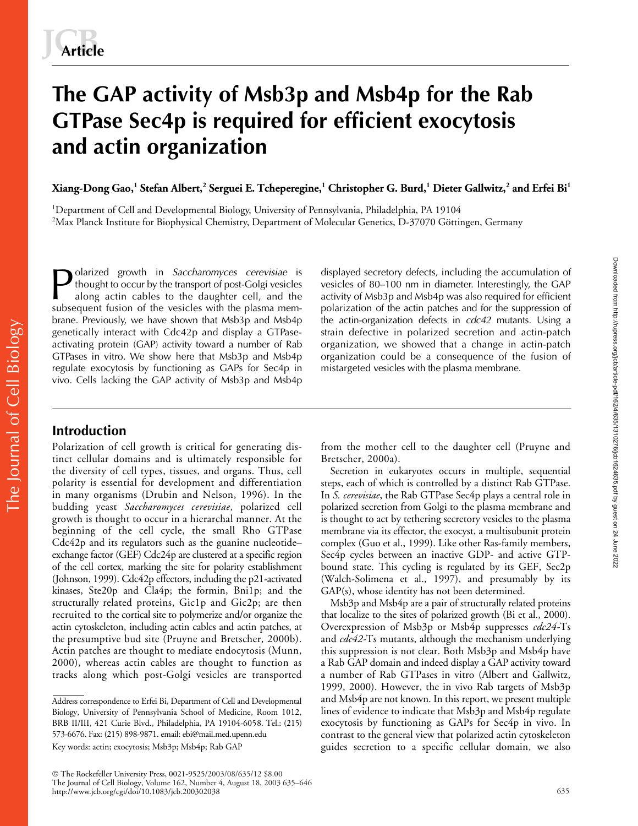# **The GAP activity of Msb3p and Msb4p for the Rab GTPase Sec4p is required for efficient exocytosis and actin organization**

 $X$ iang-Dong Gao, $^1$  Stefan Albert, $^2$  Serguei E. Tcheperegine, $^1$  Christopher G. Burd, $^1$  Dieter Gallwitz, $^2$  and Erfei Bi $^1$ 

<sup>1</sup>Department of Cell and Developmental Biology, University of Pennsylvania, Philadelphia, PA 19104  $^2$ Max Planck Institute for Biophysical Chemistry, Department of Molecular Genetics, D-37070 Göttingen, Germany

olarized growth in *Saccharomyces cerevisiae* is thought to occur by the transport of post-Golgi vesicles along actin cables to the daughter cell, and the subsequent fusion of the vesicles with the plasma membrane. Previously, we have shown that Msb3p and Msb4p genetically interact with Cdc42p and display a GTPaseactivating protein (GAP) activity toward a number of Rab GTPases in vitro. We show here that Msb3p and Msb4p regulate exocytosis by functioning as GAPs for Sec4p in vivo. Cells lacking the GAP activity of Msb3p and Msb4p Polarized growth in *Saccharomyces cerevisiae* is displayed secretory defects, including the accumulation of thought to occur by the transport of post-Golgi vesicles of 80–100 nm in diameter. Interestingly, the GAP action

vesicles of 80–100 nm in diameter. Interestingly, the GAP polarization of the actin patches and for the suppression of the actin-organization defects in *cdc42* mutants. Using a strain defective in polarized secretion and actin-patch organization, we showed that a change in actin-patch organization could be a consequence of the fusion of mistargeted vesicles with the plasma membrane.

# **Introduction**

The Journal of Cell Biology

The Journal of Cell Biology

Polarization of cell growth is critical for generating distinct cellular domains and is ultimately responsible for the diversity of cell types, tissues, and organs. Thus, cell polarity is essential for development and differentiation in many organisms (Drubin and Nelson, 1996). In the budding yeast *Saccharomyces cerevisiae*, polarized cell growth is thought to occur in a hierarchal manner. At the beginning of the cell cycle, the small Rho GTPase Cdc42p and its regulators such as the guanine nucleotide– exchange factor (GEF) Cdc24p are clustered at a specific region of the cell cortex, marking the site for polarity establishment (Johnson, 1999). Cdc42p effectors, including the p21-activated kinases, Ste20p and Cla4p; the formin, Bni1p; and the structurally related proteins, Gic1p and Gic2p; are then recruited to the cortical site to polymerize and/or organize the actin cytoskeleton, including actin cables and actin patches, at the presumptive bud site (Pruyne and Bretscher, 2000b). Actin patches are thought to mediate endocytosis (Munn, 2000), whereas actin cables are thought to function as tracks along which post-Golgi vesicles are transported

 The Rockefeller University Press, 0021-9525/2003/08/635/12 \$8.00 The Journal of Cell Biology, Volume 162, Number 4, August 18, 2003 635–646 http://www.jcb.org/cgi/doi/10.1083/jcb.200302038

from the mother cell to the daughter cell (Pruyne and Bretscher, 2000a).

Secretion in eukaryotes occurs in multiple, sequential steps, each of which is controlled by a distinct Rab GTPase. In *S. cerevisiae*, the Rab GTPase Sec4p plays a central role in polarized secretion from Golgi to the plasma membrane and is thought to act by tethering secretory vesicles to the plasma membrane via its effector, the exocyst, a multisubunit protein complex (Guo et al., 1999). Like other Ras-family members, Sec4p cycles between an inactive GDP- and active GTPbound state. This cycling is regulated by its GEF, Sec2p (Walch-Solimena et al., 1997), and presumably by its GAP(s), whose identity has not been determined.

Msb3p and Msb4p are a pair of structurally related proteins that localize to the sites of polarized growth (Bi et al., 2000). Overexpression of Msb3p or Msb4p suppresses *cdc24-*Ts and *cdc42-*Ts mutants, although the mechanism underlying this suppression is not clear. Both Msb3p and Msb4p have a Rab GAP domain and indeed display a GAP activity toward a number of Rab GTPases in vitro (Albert and Gallwitz, 1999, 2000). However, the in vivo Rab targets of Msb3p and Msb4p are not known. In this report, we present multiple lines of evidence to indicate that Msb3p and Msb4p regulate exocytosis by functioning as GAPs for Sec4p in vivo. In contrast to the general view that polarized actin cytoskeleton guides secretion to a specific cellular domain, we also

Address correspondence to Erfei Bi, Department of Cell and Developmental Biology, University of Pennsylvania School of Medicine, Room 1012, BRB II/III, 421 Curie Blvd., Philadelphia, PA 19104-6058. Tel.: (215) 573-6676. Fax: (215) 898-9871. email: ebi@mail.med.upenn.edu

Key words: actin; exocytosis; Msb3p; Msb4p; Rab GAP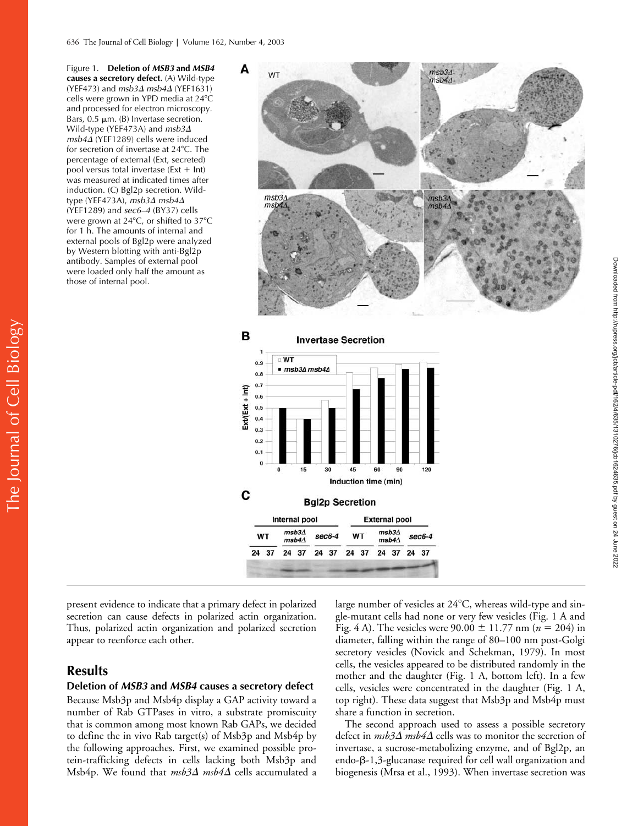Figure 1. **Deletion of** *MSB3* **and** *MSB4* **causes a secretory defect.** (A) Wild-type (YEF473) and *msb3*- *msb4*- (YEF1631) cells were grown in YPD media at 24°C and processed for electron microscopy. Bars,  $0.5 \mu m$ . (B) Invertase secretion. Wild-type (YEF473A) and *msb3 msb4*- (YEF1289) cells were induced for secretion of invertase at 24°C. The percentage of external (Ext, secreted) pool versus total invertase ( $Ext + Int$ ) was measured at indicated times after induction. (C) Bgl2p secretion. Wildtype (YEF473A), *msb3*- *msb4*- (YEF1289) and *sec6–4* (BY37) cells were grown at 24°C, or shifted to 37°C for 1 h. The amounts of internal and external pools of Bgl2p were analyzed by Western blotting with anti-Bgl2p antibody. Samples of external pool were loaded only half the amount as those of internal pool.





present evidence to indicate that a primary defect in polarized secretion can cause defects in polarized actin organization. Thus, polarized actin organization and polarized secretion appear to reenforce each other.

## **Results**

The Journal of Cell Biology

The Journal of Cell Biology

#### **Deletion of** *MSB3* **and** *MSB4* **causes a secretory defect**

Because Msb3p and Msb4p display a GAP activity toward a number of Rab GTPases in vitro, a substrate promiscuity that is common among most known Rab GAPs, we decided to define the in vivo Rab target(s) of Msb3p and Msb4p by the following approaches. First, we examined possible protein-trafficking defects in cells lacking both Msb3p and Msb4p. We found that *msb3∆ msb4∆* cells accumulated a

large number of vesicles at  $24^{\circ}$ C, whereas wild-type and single-mutant cells had none or very few vesicles (Fig. 1 A and Fig. 4 A). The vesicles were  $90.00 \pm 11.77$  nm ( $n = 204$ ) in diameter, falling within the range of 80–100 nm post-Golgi secretory vesicles (Novick and Schekman, 1979). In most cells, the vesicles appeared to be distributed randomly in the mother and the daughter (Fig. 1 A, bottom left). In a few cells, vesicles were concentrated in the daughter (Fig. 1 A, top right). These data suggest that Msb3p and Msb4p must share a function in secretion.

The second approach used to assess a possible secretory defect in  $\mathit{msb3\Delta}$   $\mathit{msb4\Delta}$  cells was to monitor the secretion of invertase, a sucrose-metabolizing enzyme, and of Bgl2p, an  $\text{endo-}\beta$ -1,3-glucanase required for cell wall organization and biogenesis (Mrsa et al., 1993). When invertase secretion was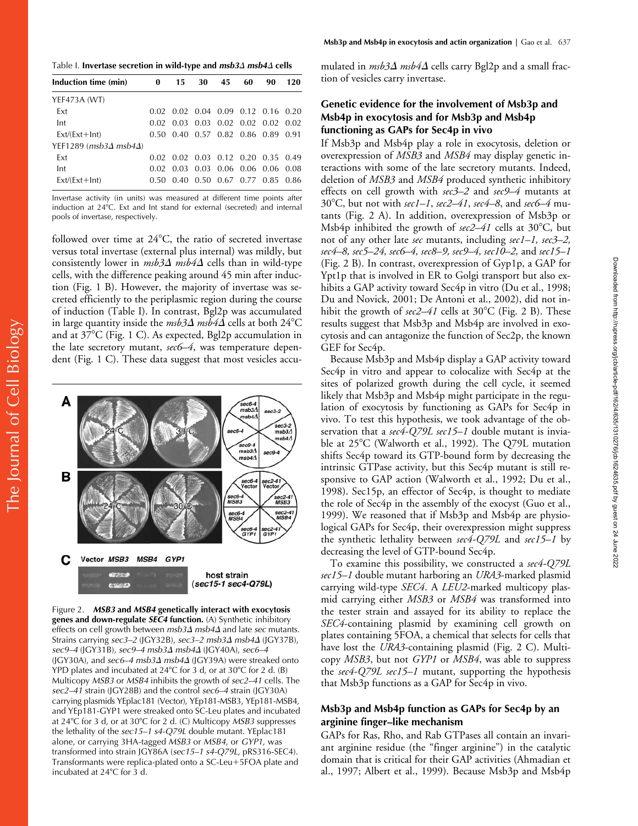Table I. Invertase secretion in wild-type and *msb3∆ msb4∆* cells

| Induction time (min)                   | 0     | 15                                 | 30 | 45 | 60                                 | 90 | 120 |
|----------------------------------------|-------|------------------------------------|----|----|------------------------------------|----|-----|
| YEF473A (WT)                           |       |                                    |    |    |                                    |    |     |
| Ext                                    |       | 0.02 0.02 0.04 0.09 0.12 0.16 0.20 |    |    |                                    |    |     |
| Int                                    | 0.02  | 0.03                               |    |    | $0.03$ $0.02$ $0.02$ $0.02$ $0.02$ |    |     |
| $Ext/(Ext+Int)$                        |       | 0.50 0.40 0.57 0.82 0.86 0.89 0.91 |    |    |                                    |    |     |
| YEF1289 ( $msb3\Delta$ msb4 $\Delta$ ) |       |                                    |    |    |                                    |    |     |
| Ext                                    |       | 0.02 0.02 0.03 0.12 0.20 0.35 0.49 |    |    |                                    |    |     |
| Int                                    | 0.02. |                                    |    |    | 0.03 0.03 0.06 0.06 0.06 0.08      |    |     |
| $Ext/(Ext+Int)$                        |       | 0.50 0.40 0.50 0.67 0.77 0.85 0.86 |    |    |                                    |    |     |

Invertase activity (in units) was measured at different time points after induction at 24°C. Ext and Int stand for external (secreted) and internal pools of invertase, respectively.

followed over time at  $24^{\circ}$ C, the ratio of secreted invertase versus total invertase (external plus internal) was mildly, but consistently lower in *msb3* $\Delta$  *msb4* $\Delta$  cells than in wild-type cells, with the difference peaking around 45 min after induction (Fig. 1 B). However, the majority of invertase was secreted efficiently to the periplasmic region during the course of induction (Table I). In contrast, Bgl2p was accumulated in large quantity inside the  $\emph{msb3}\Delta$   $\emph{msb4}\Delta$  cells at both 24°C and at  $37^{\circ}$ C (Fig. 1 C). As expected, Bgl2p accumulation in the late secretory mutant, *sec6–4*, was temperature dependent (Fig. 1 C). These data suggest that most vesicles accu-



Figure 2. *MSB3* **and** *MSB4* **genetically interact with exocytosis genes and down-regulate** *SEC4* **function.** (A) Synthetic inhibitory effects on cell growth between *msb3∆ msb4∆* and late *sec* mutants. Strains carrying *sec3–2* (JGY32B), *sec3–2 msb3∆ msb4∆* (JGY37B), *sec9–4* (JGY31B), *sec9–4 msb3*- *msb4*- (JGY40A), *sec6–4* (JGY30A), and *sec6–4 msb3* $\Delta$  *msb4* $\Delta$  (JGY39A) were streaked onto YPD plates and incubated at  $24^{\circ}$ C for 3 d, or at  $30^{\circ}$ C for 2 d. (B) Multicopy *MSB3* or *MSB4* inhibits the growth of *sec2–41* cells. The *sec2–41* strain (JGY28B) and the control *sec6–4* strain (JGY30A) carrying plasmids YEplac181 (Vector), YEp181-MSB3, YEp181-MSB4, and YEp181-GYP1 were streaked onto SC-Leu plates and incubated at 24C for 3 d, or at 30C for 2 d. (C) Multicopy *MSB3* suppresses the lethality of the *sec15–1 s4-Q79L* double mutant. YEplac181 alone, or carrying 3HA-tagged *MSB3* or *MSB4*, or *GYP1*, was transformed into strain JGY86A (*sec15–1 s4-Q79L*, pRS316-SEC4). Transformants were replica-plated onto a SC-Leu+5FOA plate and incubated at 24°C for 3 d.

mulated in *msb3∆ msb4∆* cells carry Bgl2p and a small fraction of vesicles carry invertase.

## **Genetic evidence for the involvement of Msb3p and Msb4p in exocytosis and for Msb3p and Msb4p functioning as GAPs for Sec4p in vivo**

If Msb3p and Msb4p play a role in exocytosis, deletion or overexpression of *MSB3* and *MSB4* may display genetic interactions with some of the late secretory mutants. Indeed, deletion of *MSB3* and *MSB4* produced synthetic inhibitory effects on cell growth with *sec3–2* and *sec9–4* mutants at 30C, but not with *sec1–1*, *sec2–41*, *sec4–8*, and *sec6–4* mutants (Fig. 2 A). In addition, overexpression of Msb3p or Msb4p inhibited the growth of  $sec2-41$  cells at  $30^{\circ}$ C, but not of any other late *sec* mutants, including *sec1–1, sec3–2, sec4–8, sec5–24, sec6–4, sec8–9, sec9–4, sec10–2,* and *sec15–1* (Fig. 2 B). In contrast, overexpression of Gyp1p, a GAP for Ypt1p that is involved in ER to Golgi transport but also exhibits a GAP activity toward Sec4p in vitro (Du et al., 1998; Du and Novick, 2001; De Antoni et al., 2002), did not inhibit the growth of  $sec2-41$  cells at  $30^{\circ}$ C (Fig. 2 B). These results suggest that Msb3p and Msb4p are involved in exocytosis and can antagonize the function of Sec2p, the known GEF for Sec4p.

Because Msb3p and Msb4p display a GAP activity toward Sec4p in vitro and appear to colocalize with Sec4p at the sites of polarized growth during the cell cycle, it seemed likely that Msb3p and Msb4p might participate in the regulation of exocytosis by functioning as GAPs for Sec4p in vivo. To test this hypothesis, we took advantage of the observation that a *sec4-Q79L sec15–1* double mutant is inviable at 25<sup>°</sup>C (Walworth et al., 1992). The Q79L mutation shifts Sec4p toward its GTP-bound form by decreasing the intrinsic GTPase activity, but this Sec4p mutant is still responsive to GAP action (Walworth et al., 1992; Du et al., 1998). Sec15p, an effector of Sec4p, is thought to mediate the role of Sec4p in the assembly of the exocyst (Guo et al., 1999). We reasoned that if Msb3p and Msb4p are physiological GAPs for Sec4p, their overexpression might suppress the synthetic lethality between *sec4-Q79L* and *sec15–1* by decreasing the level of GTP-bound Sec4p.

To examine this possibility, we constructed a *sec4-Q79L sec15–1* double mutant harboring an *URA3*-marked plasmid carrying wild-type *SEC4*. A *LEU2*-marked multicopy plasmid carrying either *MSB3* or *MSB4* was transformed into the tester strain and assayed for its ability to replace the *SEC4*-containing plasmid by examining cell growth on plates containing 5FOA, a chemical that selects for cells that have lost the *URA3*-containing plasmid (Fig. 2 C). Multicopy *MSB3*, but not *GYP1* or *MSB4*, was able to suppress the *sec4-Q79L sec15–1* mutant, supporting the hypothesis that Msb3p functions as a GAP for Sec4p in vivo.

## **Msb3p and Msb4p function as GAPs for Sec4p by an arginine finger–like mechanism**

GAPs for Ras, Rho, and Rab GTPases all contain an invariant arginine residue (the "finger arginine") in the catalytic domain that is critical for their GAP activities (Ahmadian et al., 1997; Albert et al., 1999). Because Msb3p and Msb4p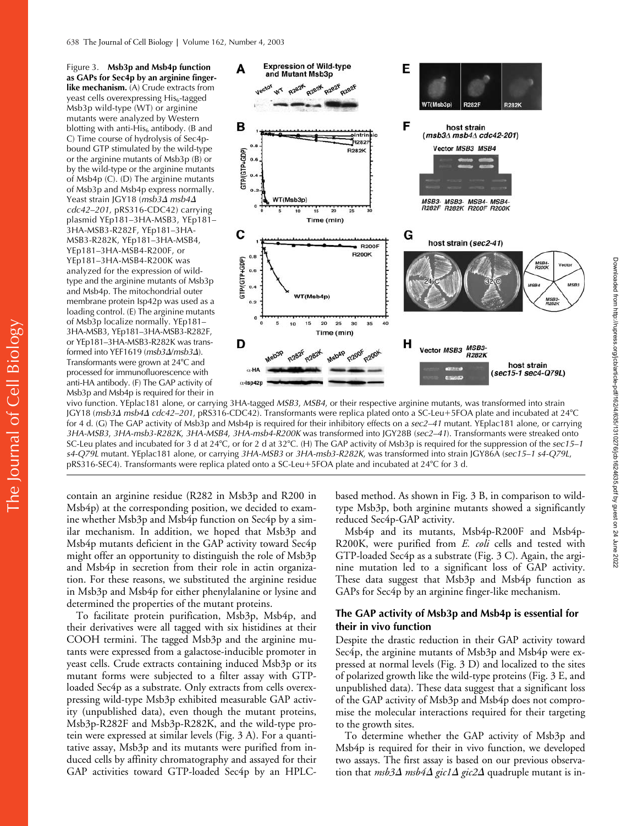Figure 3. **Msb3p and Msb4p function as GAPs for Sec4p by an arginine fingerlike mechanism.** (A) Crude extracts from yeast cells overexpressing His<sub>6</sub>-tagged Msb3p wild-type (WT) or arginine mutants were analyzed by Western blotting with anti-His $_6$  antibody. (B and C) Time course of hydrolysis of Sec4pbound GTP stimulated by the wild-type or the arginine mutants of Msb3p (B) or by the wild-type or the arginine mutants of Msb4p (C). (D) The arginine mutants of Msb3p and Msb4p express normally. Yeast strain JGY18 (*msb3∆ msb4∆ cdc42–201*, pRS316-CDC42) carrying plasmid YEp181–3HA-MSB3, YEp181– 3HA-MSB3-R282F, YEp181–3HA-MSB3-R282K, YEp181–3HA-MSB4, YEp181–3HA-MSB4-R200F, or YEp181–3HA-MSB4-R200K was analyzed for the expression of wildtype and the arginine mutants of Msb3p and Msb4p. The mitochondrial outer membrane protein Isp42p was used as a loading control. (E) The arginine mutants of Msb3p localize normally. YEp181– 3HA-MSB3, YEp181–3HA-MSB3-R282F, or YEp181–3HA-MSB3-R282K was transformed into YEF1619 (*msb3*-/*msb3*-). Transformants were grown at 24°C and processed for immunofluorescence with anti-HA antibody. (F) The GAP activity of Msb3p and Msb4p is required for their in



vivo function. YEplac181 alone, or carrying 3HA-tagged *MSB3*, *MSB4*, or their respective arginine mutants, was transformed into strain JGY18 (*msb3∆ msb4∆ cdc42–201,* pRS316-CDC42). Transformants were replica plated onto a SC-Leu+5FOA plate and incubated at 24°C for 4 d. (G) The GAP activity of Msb3p and Msb4p is required for their inhibitory effects on a *sec2–41* mutant. YEplac181 alone, or carrying *3HA-MSB3*, *3HA-msb3-R282K*, *3HA-MSB4*, *3HA-msb4-R200K* was transformed into JGY28B (*sec2–41*). Transformants were streaked onto SC-Leu plates and incubated for 3 d at 24°C, or for 2 d at 32°C. (H) The GAP activity of Msb3p is required for the suppression of the *sec15–1 s4-Q79L* mutant. YEplac181 alone, or carrying *3HA-MSB3* or *3HA-msb3-R282K*, was transformed into strain JGY86A (*sec15–1 s4-Q79L*, pRS316-SEC4). Transformants were replica plated onto a SC-Leu+5FOA plate and incubated at 24°C for 3 d.

contain an arginine residue (R282 in Msb3p and R200 in Msb4p) at the corresponding position, we decided to examine whether Msb3p and Msb4p function on Sec4p by a similar mechanism. In addition, we hoped that Msb3p and Msb4p mutants deficient in the GAP activity toward Sec4p might offer an opportunity to distinguish the role of Msb3p and Msb4p in secretion from their role in actin organization. For these reasons, we substituted the arginine residue in Msb3p and Msb4p for either phenylalanine or lysine and determined the properties of the mutant proteins.

To facilitate protein purification, Msb3p, Msb4p, and their derivatives were all tagged with six histidines at their COOH termini. The tagged Msb3p and the arginine mutants were expressed from a galactose-inducible promoter in yeast cells. Crude extracts containing induced Msb3p or its mutant forms were subjected to a filter assay with GTPloaded Sec4p as a substrate. Only extracts from cells overexpressing wild-type Msb3p exhibited measurable GAP activity (unpublished data), even though the mutant proteins, Msb3p-R282F and Msb3p-R282K, and the wild-type protein were expressed at similar levels (Fig. 3 A). For a quantitative assay, Msb3p and its mutants were purified from induced cells by affinity chromatography and assayed for their GAP activities toward GTP-loaded Sec4p by an HPLC-

based method. As shown in Fig. 3 B, in comparison to wildtype Msb3p, both arginine mutants showed a significantly reduced Sec4p-GAP activity.

Msb4p and its mutants, Msb4p-R200F and Msb4p-R200K, were purified from *E. coli* cells and tested with GTP-loaded Sec4p as a substrate (Fig. 3 C). Again, the arginine mutation led to a significant loss of GAP activity. These data suggest that Msb3p and Msb4p function as GAPs for Sec4p by an arginine finger-like mechanism.

### **The GAP activity of Msb3p and Msb4p is essential for their in vivo function**

Despite the drastic reduction in their GAP activity toward Sec4p, the arginine mutants of Msb3p and Msb4p were expressed at normal levels (Fig. 3 D) and localized to the sites of polarized growth like the wild-type proteins (Fig. 3 E, and unpublished data). These data suggest that a significant loss of the GAP activity of Msb3p and Msb4p does not compromise the molecular interactions required for their targeting to the growth sites.

To determine whether the GAP activity of Msb3p and Msb4p is required for their in vivo function, we developed two assays. The first assay is based on our previous observation that *msb3∆ msb4∆ gic1∆ gic2∆* quadruple mutant is in-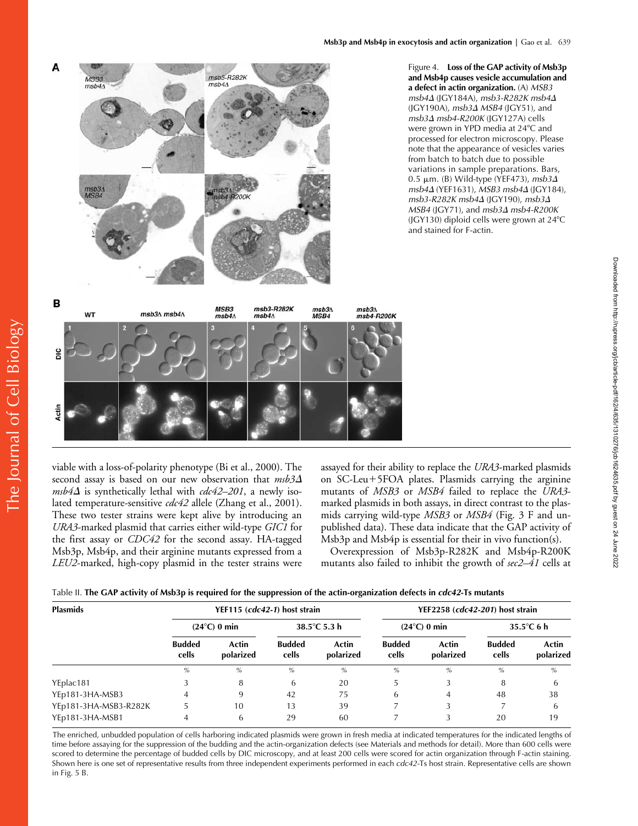

Figure 4. **Loss of the GAP activity of Msb3p and Msb4p causes vesicle accumulation and a defect in actin organization.** (A) *MSB3 msb4*- (JGY184A), *msb3-R282K msb4*- (JGY190A), *msb3* $\Delta$  *MSB4* (JGY51), and *msb3*- *msb4-R200K* (JGY127A) cells were grown in YPD media at 24°C and processed for electron microscopy. Please note that the appearance of vesicles varies from batch to batch due to possible variations in sample preparations. Bars, 0.5 μm. (B) Wild-type (YEF473), msb3Δ *msb4*- (YEF1631), *MSB3 msb4*- (JGY184), *msb3-R282K msb4*- (JGY190), *msb3*- *MSB4* (JGY71), and *msb3*- *msb4-R200K* (JGY130) diploid cells were grown at 24°C and stained for F-actin.



viable with a loss-of-polarity phenotype (Bi et al., 2000). The second assay is based on our new observation that *msb3*  $msb4\Delta$  is synthetically lethal with  $cdc42-201$ , a newly isolated temperature-sensitive *cdc42* allele (Zhang et al., 2001). These two tester strains were kept alive by introducing an *URA3*-marked plasmid that carries either wild-type *GIC1* for the first assay or *CDC42* for the second assay. HA-tagged Msb3p, Msb4p, and their arginine mutants expressed from a *LEU2*-marked, high-copy plasmid in the tester strains were assayed for their ability to replace the *URA3*-marked plasmids on SC-Leu+5FOA plates. Plasmids carrying the arginine mutants of *MSB3* or *MSB4* failed to replace the *URA3* marked plasmids in both assays, in direct contrast to the plasmids carrying wild-type *MSB3* or *MSB4* (Fig. 3 F and unpublished data). These data indicate that the GAP activity of Msb3p and Msb4p is essential for their in vivo function(s).

Overexpression of Msb3p-R282K and Msb4p-R200K mutants also failed to inhibit the growth of *sec2–41* cells at

| Table II. The GAP activity of Msb3p is required for the suppression of the actin-organization defects in <i>cdc42</i> -Ts mutants |  |
|-----------------------------------------------------------------------------------------------------------------------------------|--|
|-----------------------------------------------------------------------------------------------------------------------------------|--|

| <b>Plasmids</b>       | YEF115 (cdc42-1) host strain |                    |                        |                    | YEF2258 (cdc42-201) host strain |                    |                        |                    |
|-----------------------|------------------------------|--------------------|------------------------|--------------------|---------------------------------|--------------------|------------------------|--------------------|
|                       | $(24^{\circ}C)$ 0 min        |                    | 38.5 $°C$ 5.3 h        |                    | $(24^{\circ}C)$ 0 min           |                    | 35.5 $\degree$ C 6 h   |                    |
|                       | <b>Budded</b><br>cells       | Actin<br>polarized | <b>Budded</b><br>cells | Actin<br>polarized | <b>Budded</b><br>cells          | Actin<br>polarized | <b>Budded</b><br>cells | Actin<br>polarized |
|                       | $\%$                         | $\%$               | $\%$                   | $\%$               | $\%$                            | $\%$               | $\%$                   | $\%$               |
| YEplac181             |                              | 8                  | 6                      | 20                 |                                 |                    | 8                      | b                  |
| YEp181-3HA-MSB3       | 4                            | 9                  | 42                     | 75                 | 6                               | 4                  | 48                     | 38                 |
| YEp181-3HA-MSB3-R282K |                              | 10                 | 13                     | 39                 |                                 |                    |                        | 6                  |
| YEp181-3HA-MSB1       |                              | 6                  | 29                     | 60                 |                                 |                    | 20                     | 19                 |

The enriched, unbudded population of cells harboring indicated plasmids were grown in fresh media at indicated temperatures for the indicated lengths of time before assaying for the suppression of the budding and the actin-organization defects (see Materials and methods for detail). More than 600 cells were scored to determine the percentage of budded cells by DIC microscopy, and at least 200 cells were scored for actin organization through F-actin staining. Shown here is one set of representative results from three independent experiments performed in each *cdc42-*Ts host strain. Representative cells are shown in Fig. 5 B.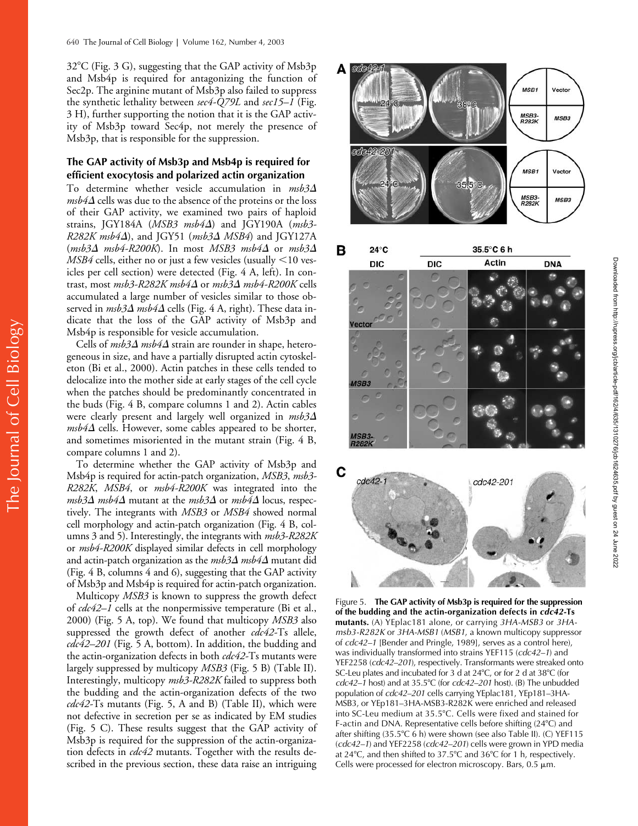$32^{\circ}$ C (Fig. 3 G), suggesting that the GAP activity of Msb3p and Msb4p is required for antagonizing the function of Sec2p. The arginine mutant of Msb3p also failed to suppress the synthetic lethality between *sec4-Q79L* and *sec15–1* (Fig. 3 H), further supporting the notion that it is the GAP activity of Msb3p toward Sec4p, not merely the presence of Msb3p, that is responsible for the suppression.

## **The GAP activity of Msb3p and Msb4p is required for efficient exocytosis and polarized actin organization**

To determine whether vesicle accumulation in *msb3*-  $\mathit{msb4\Delta}$  cells was due to the absence of the proteins or the loss of their GAP activity, we examined two pairs of haploid strains, JGY184A (*MSB3 msb4*-) and JGY190A (*msb3- R282K msb4*-), and JGY51 (*msb3*- *MSB4*) and JGY127A (*msb3*- *msb4-R200K*). In most *MSB3 msb4*- or *msb3*-  $MSB4$  cells, either no or just a few vesicles (usually  $\leq$ 10 vesicles per cell section) were detected (Fig. 4 A, left). In contrast, most *msb3-R282K msb4* $\Delta$  or *msb3* $\Delta$  *msb4-R200K* cells accumulated a large number of vesicles similar to those observed in *msb3* $\Delta$  *msb4* $\Delta$  cells (Fig. 4 A, right). These data indicate that the loss of the GAP activity of Msb3p and Msb4p is responsible for vesicle accumulation.

Cells of  $msb3\Delta msb4\Delta$  strain are rounder in shape, heterogeneous in size, and have a partially disrupted actin cytoskeleton (Bi et al., 2000). Actin patches in these cells tended to delocalize into the mother side at early stages of the cell cycle when the patches should be predominantly concentrated in the buds (Fig. 4 B, compare columns 1 and 2). Actin cables were clearly present and largely well organized in *msb3*  $msb4\Delta$  cells. However, some cables appeared to be shorter, and sometimes misoriented in the mutant strain (Fig. 4 B, compare columns 1 and 2).

To determine whether the GAP activity of Msb3p and Msb4p is required for actin-patch organization, *MSB3*, *msb3- R282K*, *MSB4*, or *msb4-R200K* was integrated into the  $\mathit{msb3\Delta}$   $\mathit{msb4\Delta}$  mutant at the  $\mathit{msb3\Delta}$  or  $\mathit{msb4\Delta}$  locus, respectively. The integrants with *MSB3* or *MSB4* showed normal cell morphology and actin-patch organization (Fig. 4 B, columns 3 and 5). Interestingly, the integrants with *msb3-R282K* or *msb4-R200K* displayed similar defects in cell morphology and actin-patch organization as the *msb3* $\Delta$  *msb4* $\Delta$  mutant did (Fig. 4 B, columns 4 and 6), suggesting that the GAP activity of Msb3p and Msb4p is required for actin-patch organization.

Multicopy *MSB3* is known to suppress the growth defect of *cdc42–1* cells at the nonpermissive temperature (Bi et al., 2000) (Fig. 5 A, top). We found that multicopy *MSB3* also suppressed the growth defect of another *cdc42-*Ts allele, *cdc42–201* (Fig. 5 A, bottom). In addition, the budding and the actin-organization defects in both *cdc42-*Ts mutants were largely suppressed by multicopy *MSB3* (Fig. 5 B) (Table II). Interestingly, multicopy *msb3-R282K* failed to suppress both the budding and the actin-organization defects of the two *cdc42-*Ts mutants (Fig. 5, A and B) (Table II), which were not defective in secretion per se as indicated by EM studies (Fig. 5 C). These results suggest that the GAP activity of Msb3p is required for the suppression of the actin-organization defects in *cdc42* mutants. Together with the results described in the previous section, these data raise an intriguing







Figure 5. **The GAP activity of Msb3p is required for the suppression of the budding and the actin-organization defects in** *cdc42-***Ts mutants.** (A) YEplac181 alone, or carrying *3HA-MSB3* or *3HAmsb3-R282K* or *3HA-MSB1* (*MSB1*, a known multicopy suppressor of *cdc42–1* [Bender and Pringle, 1989], serves as a control here), was individually transformed into strains YEF115 (*cdc42–1*) and YEF2258 (*cdc42–201*), respectively. Transformants were streaked onto SC-Leu plates and incubated for 3 d at 24°C, or for 2 d at 38°C (for *cdc42–1* host) and at 35.5C (for *cdc42–201* host). (B) The unbudded population of *cdc42–201* cells carrying YEplac181, YEp181–3HA-MSB3, or YEp181–3HA-MSB3-R282K were enriched and released into SC-Leu medium at 35.5°C. Cells were fixed and stained for F-actin and DNA. Representative cells before shifting (24°C) and after shifting (35.5°C 6 h) were shown (see also Table II). (C) YEF115 (*cdc42–1*) and YEF2258 (*cdc42–201*) cells were grown in YPD media at  $24^{\circ}$ C, and then shifted to  $37.5^{\circ}$ C and  $36^{\circ}$ C for 1 h, respectively. Cells were processed for electron microscopy. Bars,  $0.5 \mu m$ .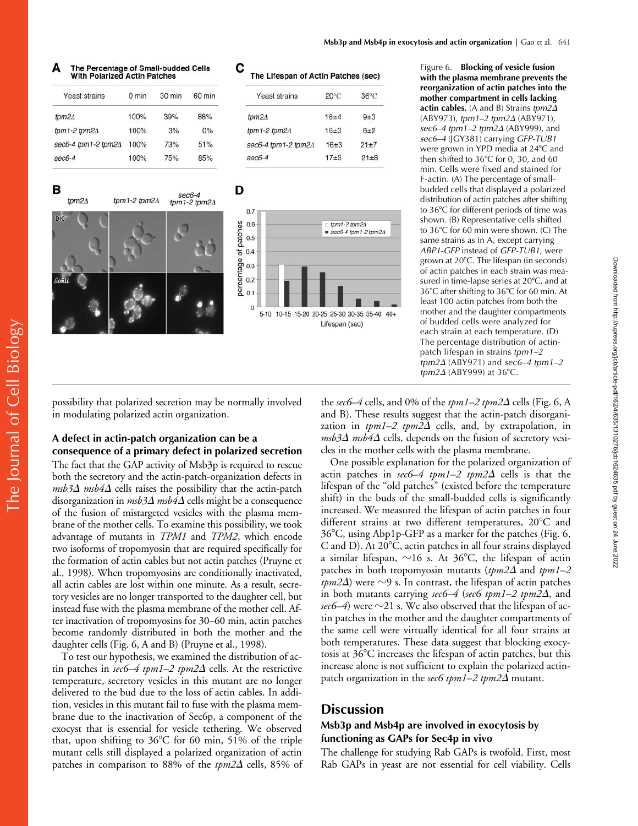#### **Msb3p and Msb4p in exocytosis and actin organization | Gao et al. 641**

# The Percentage of Small-budded Cells<br>With Polarized Actin Patches

| $0 \text{ min}$ | $30 \text{ min}$ | 60 min |
|-----------------|------------------|--------|
| 100%            | 39%              | 88%    |
| 100%            | 3%               | 0%     |
| 100%            | 73%              | 51%    |
| 100%            | 75%              | 85%    |
|                 |                  |        |





| Yeast strains               | $20^{\circ}$ C | $36^{\circ}$ C |
|-----------------------------|----------------|----------------|
| tpm $2\Delta$               | $16 + 4$       | $9 + 3$        |
| tpm1-2 tpm2 $\Delta$        | $16 + 3$       | $8+2$          |
| sec6-4 tpm1-2 tpm2 $\Delta$ | $16 + 3$       | $21+7$         |
| $sec6-4$                    | $17 + 3$       | $21 + 8$       |
|                             |                |                |



Figure 6. **Blocking of vesicle fusion with the plasma membrane prevents the reorganization of actin patches into the mother compartment in cells lacking actin cables.** (A and B) Strains *tpm2*- (ABY973), *tpm1–2 tpm2*- (ABY971), *sec6–4 tpm1–2 tpm2*- (ABY999), and *sec6–4* (JGY381) carrying *GFP-TUB1* were grown in YPD media at 24°C and then shifted to  $36^{\circ}$ C for 0, 30, and 60 min. Cells were fixed and stained for F-actin. (A) The percentage of smallbudded cells that displayed a polarized distribution of actin patches after shifting to 36°C for different periods of time was shown. (B) Representative cells shifted to 36°C for 60 min were shown. (C) The same strains as in A, except carrying *ABP1-GFP* instead of *GFP-TUB1*, were grown at 20°C. The lifespan (in seconds) of actin patches in each strain was measured in time-lapse series at 20°C, and at 36°C after shifting to 36°C for 60 min. At least 100 actin patches from both the mother and the daughter compartments of budded cells were analyzed for each strain at each temperature. (D) The percentage distribution of actinpatch lifespan in strains *tpm1–2 tpm2*- (ABY971) and *sec6–4 tpm1–2 tpm2* $\Delta$  (ABY999) at 36°C.

possibility that polarized secretion may be normally involved in modulating polarized actin organization.

## **A defect in actin-patch organization can be a consequence of a primary defect in polarized secretion**

The fact that the GAP activity of Msb3p is required to rescue both the secretory and the actin-patch-organization defects in  $msb3\Delta$   $msb4\Delta$  cells raises the possibility that the actin-patch disorganization in *msb3* $\Delta$  *msb4* $\Delta$  cells might be a consequence of the fusion of mistargeted vesicles with the plasma membrane of the mother cells. To examine this possibility, we took advantage of mutants in *TPM1* and *TPM2*, which encode two isoforms of tropomyosin that are required specifically for the formation of actin cables but not actin patches (Pruyne et al., 1998). When tropomyosins are conditionally inactivated, all actin cables are lost within one minute. As a result, secretory vesicles are no longer transported to the daughter cell, but instead fuse with the plasma membrane of the mother cell. After inactivation of tropomyosins for 30–60 min, actin patches become randomly distributed in both the mother and the daughter cells (Fig. 6, A and B) (Pruyne et al., 1998).

To test our hypothesis, we examined the distribution of actin patches in *sec6–4 tpm1–2 tpm2* $\Delta$  cells. At the restrictive temperature, secretory vesicles in this mutant are no longer delivered to the bud due to the loss of actin cables. In addition, vesicles in this mutant fail to fuse with the plasma membrane due to the inactivation of Sec6p, a component of the exocyst that is essential for vesicle tethering. We observed that, upon shifting to  $36^{\circ}$ C for 60 min, 51% of the triple mutant cells still displayed a polarized organization of actin patches in comparison to 88% of the *tpm2* $\Delta$  cells, 85% of

the *sec6–4* cells, and 0% of the *tpm1–2 tpm2* $\Delta$  cells (Fig. 6, A and B). These results suggest that the actin-patch disorganization in *tpm1–2 tpm2* $\Delta$  cells, and, by extrapolation, in  $\emph{msb3}\Delta$   $\emph{msb4}\Delta$  cells, depends on the fusion of secretory vesicles in the mother cells with the plasma membrane.

One possible explanation for the polarized organization of actin patches in *sec6–4 tpm1–2 tpm2∆* cells is that the lifespan of the "old patches" (existed before the temperature shift) in the buds of the small-budded cells is significantly increased. We measured the lifespan of actin patches in four different strains at two different temperatures, 20°C and  $36^{\circ}$ C, using Abp1p-GFP as a marker for the patches (Fig. 6, C and D). At  $20^{\circ}$ C, actin patches in all four strains displayed a similar lifespan,  $\sim$ 16 s. At 36°C, the lifespan of actin patches in both tropomyosin mutants (*tpm2* $\Delta$  and *tpm1–2 tpm2* $\Delta$ ) were  $\sim$ 9 s. In contrast, the lifespan of actin patches in both mutants carrying *sec6–4 (sec6 tpm1–2 tpm2* $\Delta$ , and  $\mathit{sec}$ 6–4) were  ${\sim}21$  s. We also observed that the lifespan of actin patches in the mother and the daughter compartments of the same cell were virtually identical for all four strains at both temperatures. These data suggest that blocking exocytosis at  $36^{\circ}$ C increases the lifespan of actin patches, but this increase alone is not sufficient to explain the polarized actinpatch organization in the *sec6 tpm1–2 tpm2* $\Delta$  mutant.

## **Discussion**

## **Msb3p and Msb4p are involved in exocytosis by functioning as GAPs for Sec4p in vivo**

The challenge for studying Rab GAPs is twofold. First, most Rab GAPs in yeast are not essential for cell viability. Cells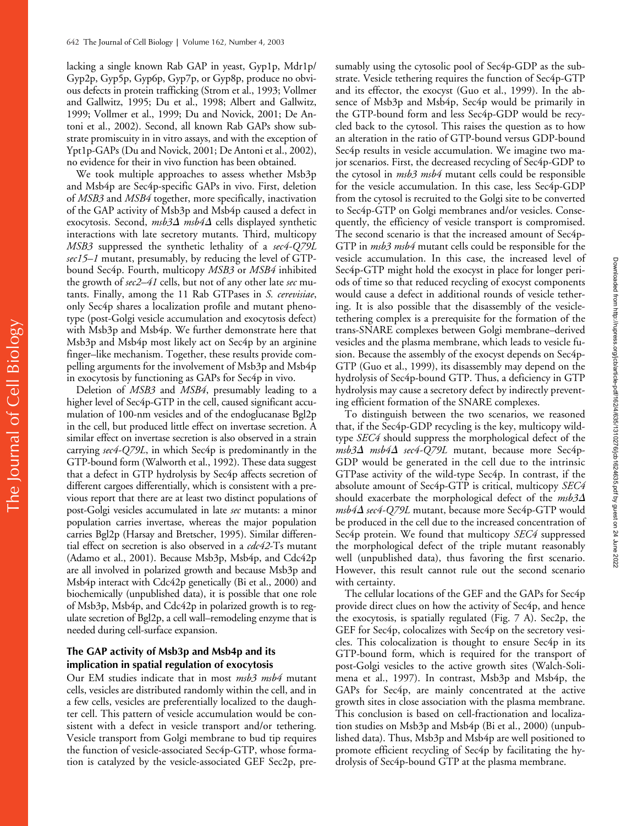lacking a single known Rab GAP in yeast, Gyp1p, Mdr1p/ Gyp2p, Gyp5p, Gyp6p, Gyp7p, or Gyp8p, produce no obvious defects in protein trafficking (Strom et al., 1993; Vollmer and Gallwitz, 1995; Du et al., 1998; Albert and Gallwitz, 1999; Vollmer et al., 1999; Du and Novick, 2001; De Antoni et al., 2002). Second, all known Rab GAPs show substrate promiscuity in in vitro assays, and with the exception of Ypt1p-GAPs (Du and Novick, 2001; De Antoni et al., 2002), no evidence for their in vivo function has been obtained.

We took multiple approaches to assess whether Msb3p and Msb4p are Sec4p-specific GAPs in vivo. First, deletion of *MSB3* and *MSB4* together, more specifically, inactivation of the GAP activity of Msb3p and Msb4p caused a defect in exocytosis. Second, *msb3∆ msb4∆* cells displayed synthetic interactions with late secretory mutants. Third, multicopy *MSB3* suppressed the synthetic lethality of a *sec4-Q79L sec15–1* mutant, presumably, by reducing the level of GTPbound Sec4p. Fourth, multicopy *MSB3* or *MSB4* inhibited the growth of *sec2–41* cells, but not of any other late *sec* mutants. Finally, among the 11 Rab GTPases in *S. cerevisiae*, only Sec4p shares a localization profile and mutant phenotype (post-Golgi vesicle accumulation and exocytosis defect) with Msb3p and Msb4p. We further demonstrate here that Msb3p and Msb4p most likely act on Sec4p by an arginine finger–like mechanism. Together, these results provide compelling arguments for the involvement of Msb3p and Msb4p in exocytosis by functioning as GAPs for Sec4p in vivo.

Deletion of *MSB3* and *MSB4*, presumably leading to a higher level of Sec4p-GTP in the cell, caused significant accumulation of 100-nm vesicles and of the endoglucanase Bgl2p in the cell, but produced little effect on invertase secretion. A similar effect on invertase secretion is also observed in a strain carrying *sec4-Q79L*, in which Sec4p is predominantly in the GTP-bound form (Walworth et al., 1992). These data suggest that a defect in GTP hydrolysis by Sec4p affects secretion of different cargoes differentially, which is consistent with a previous report that there are at least two distinct populations of post-Golgi vesicles accumulated in late *sec* mutants: a minor population carries invertase, whereas the major population carries Bgl2p (Harsay and Bretscher, 1995). Similar differential effect on secretion is also observed in a *cdc42*-Ts mutant (Adamo et al., 2001). Because Msb3p, Msb4p, and Cdc42p are all involved in polarized growth and because Msb3p and Msb4p interact with Cdc42p genetically (Bi et al., 2000) and biochemically (unpublished data), it is possible that one role of Msb3p, Msb4p, and Cdc42p in polarized growth is to regulate secretion of Bgl2p, a cell wall–remodeling enzyme that is needed during cell-surface expansion.

## **The GAP activity of Msb3p and Msb4p and its implication in spatial regulation of exocytosis**

Our EM studies indicate that in most *msb3 msb4* mutant cells, vesicles are distributed randomly within the cell, and in a few cells, vesicles are preferentially localized to the daughter cell. This pattern of vesicle accumulation would be consistent with a defect in vesicle transport and/or tethering. Vesicle transport from Golgi membrane to bud tip requires the function of vesicle-associated Sec4p-GTP, whose formation is catalyzed by the vesicle-associated GEF Sec2p, presumably using the cytosolic pool of Sec4p-GDP as the substrate. Vesicle tethering requires the function of Sec4p-GTP and its effector, the exocyst (Guo et al., 1999). In the absence of Msb3p and Msb4p, Sec4p would be primarily in the GTP-bound form and less Sec4p-GDP would be recycled back to the cytosol. This raises the question as to how an alteration in the ratio of GTP-bound versus GDP-bound Sec4p results in vesicle accumulation. We imagine two major scenarios. First, the decreased recycling of Sec4p-GDP to the cytosol in *msb3 msb4* mutant cells could be responsible for the vesicle accumulation. In this case, less Sec4p-GDP from the cytosol is recruited to the Golgi site to be converted to Sec4p-GTP on Golgi membranes and/or vesicles. Consequently, the efficiency of vesicle transport is compromised. The second scenario is that the increased amount of Sec4p-GTP in *msb3 msb4* mutant cells could be responsible for the vesicle accumulation. In this case, the increased level of Sec4p-GTP might hold the exocyst in place for longer periods of time so that reduced recycling of exocyst components would cause a defect in additional rounds of vesicle tethering. It is also possible that the disassembly of the vesicletethering complex is a prerequisite for the formation of the trans-SNARE complexes between Golgi membrane–derived vesicles and the plasma membrane, which leads to vesicle fusion. Because the assembly of the exocyst depends on Sec4p-GTP (Guo et al., 1999), its disassembly may depend on the hydrolysis of Sec4p-bound GTP. Thus, a deficiency in GTP hydrolysis may cause a secretory defect by indirectly preventing efficient formation of the SNARE complexes.

To distinguish between the two scenarios, we reasoned that, if the Sec4p-GDP recycling is the key, multicopy wildtype *SEC4* should suppress the morphological defect of the *msb3*- *msb4*- *sec4-Q79L* mutant, because more Sec4p-GDP would be generated in the cell due to the intrinsic GTPase activity of the wild-type Sec4p. In contrast, if the absolute amount of Sec4p-GTP is critical, multicopy *SEC4* should exacerbate the morphological defect of the *msb3 msb4*- *sec4-Q79L* mutant, because more Sec4p-GTP would be produced in the cell due to the increased concentration of Sec4p protein. We found that multicopy *SEC4* suppressed the morphological defect of the triple mutant reasonably well (unpublished data), thus favoring the first scenario. However, this result cannot rule out the second scenario with certainty.

The cellular locations of the GEF and the GAPs for Sec4p provide direct clues on how the activity of Sec4p, and hence the exocytosis, is spatially regulated (Fig. 7 A). Sec2p, the GEF for Sec4p, colocalizes with Sec4p on the secretory vesicles. This colocalization is thought to ensure Sec4p in its GTP-bound form, which is required for the transport of post-Golgi vesicles to the active growth sites (Walch-Solimena et al., 1997). In contrast, Msb3p and Msb4p, the GAPs for Sec4p, are mainly concentrated at the active growth sites in close association with the plasma membrane. This conclusion is based on cell-fractionation and localization studies on Msb3p and Msb4p (Bi et al., 2000) (unpublished data). Thus, Msb3p and Msb4p are well positioned to promote efficient recycling of Sec4p by facilitating the hydrolysis of Sec4p-bound GTP at the plasma membrane.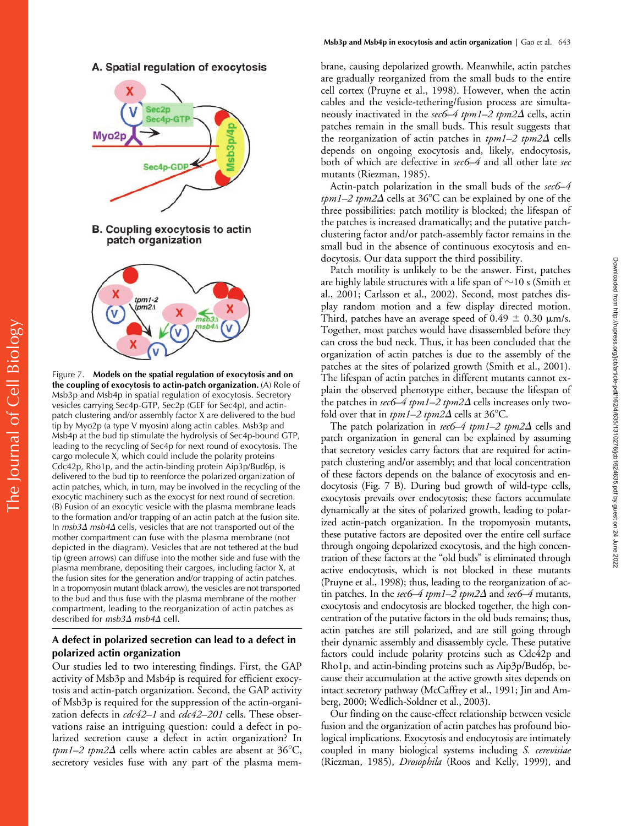A. Spatial regulation of exocytosis



B. Coupling exocytosis to actin patch organization



Figure 7. **Models on the spatial regulation of exocytosis and on the coupling of exocytosis to actin-patch organization.** (A) Role of Msb3p and Msb4p in spatial regulation of exocytosis. Secretory vesicles carrying Sec4p-GTP, Sec2p (GEF for Sec4p), and actinpatch clustering and/or assembly factor X are delivered to the bud tip by Myo2p (a type V myosin) along actin cables. Msb3p and Msb4p at the bud tip stimulate the hydrolysis of Sec4p-bound GTP, leading to the recycling of Sec4p for next round of exocytosis. The cargo molecule X, which could include the polarity proteins Cdc42p, Rho1p, and the actin-binding protein Aip3p/Bud6p, is delivered to the bud tip to reenforce the polarized organization of actin patches, which, in turn, may be involved in the recycling of the exocytic machinery such as the exocyst for next round of secretion. (B) Fusion of an exocytic vesicle with the plasma membrane leads to the formation and/or trapping of an actin patch at the fusion site. In  $msb3\Delta$   $msb4\Delta$  cells, vesicles that are not transported out of the mother compartment can fuse with the plasma membrane (not depicted in the diagram). Vesicles that are not tethered at the bud tip (green arrows) can diffuse into the mother side and fuse with the plasma membrane, depositing their cargoes, including factor X, at the fusion sites for the generation and/or trapping of actin patches. In a tropomyosin mutant (black arrow), the vesicles are not transported to the bud and thus fuse with the plasma membrane of the mother compartment, leading to the reorganization of actin patches as described for *msb3∆ msb4∆* cell.

## **A defect in polarized secretion can lead to a defect in polarized actin organization**

Our studies led to two interesting findings. First, the GAP activity of Msb3p and Msb4p is required for efficient exocytosis and actin-patch organization. Second, the GAP activity of Msb3p is required for the suppression of the actin-organization defects in *cdc42–1* and *cdc42–201* cells. These observations raise an intriguing question: could a defect in polarized secretion cause a defect in actin organization? In  $tpm1-2$   $tpm2\Delta$  cells where actin cables are absent at 36°C, secretory vesicles fuse with any part of the plasma membrane, causing depolarized growth. Meanwhile, actin patches are gradually reorganized from the small buds to the entire cell cortex (Pruyne et al., 1998). However, when the actin cables and the vesicle-tethering/fusion process are simultaneously inactivated in the *sec6–4 tpm1–2 tpm2* $\Delta$  cells, actin patches remain in the small buds. This result suggests that the reorganization of actin patches in *tpm1–2 tpm2* $\Delta$  cells depends on ongoing exocytosis and, likely, endocytosis, both of which are defective in *sec6–4* and all other late *sec* mutants (Riezman, 1985).

Actin-patch polarization in the small buds of the *sec6–4*  $tpm1–2\ tpm2$  cells at 36°C can be explained by one of the three possibilities: patch motility is blocked; the lifespan of the patches is increased dramatically; and the putative patchclustering factor and/or patch-assembly factor remains in the small bud in the absence of continuous exocytosis and endocytosis. Our data support the third possibility.

Patch motility is unlikely to be the answer. First, patches are highly labile structures with a life span of  $\sim$ 10 s (Smith et al., 2001; Carlsson et al., 2002). Second, most patches display random motion and a few display directed motion. Third, patches have an average speed of  $0.49 \pm 0.30$   $\mu$ m/s. Together, most patches would have disassembled before they can cross the bud neck. Thus, it has been concluded that the organization of actin patches is due to the assembly of the patches at the sites of polarized growth (Smith et al., 2001). The lifespan of actin patches in different mutants cannot explain the observed phenotype either, because the lifespan of the patches in *sec6–4 tpm1–2 tpm2* $\Delta$  cells increases only twofold over that in  $tpm1–2tpm2\Delta$  cells at 36°C.

Downloaded from http://rupress.org/jcb/article-pdf/162/4/635/1310276/jcb1624635.pdf by guest on 24 June 2022

Downloaded from http://rupress.org/jcb/article-pdf/162/4/635/1310276/jcb1624635.pdf by guest on 24 June 2022

The patch polarization in *sec6–4 tpm1–2 tpm2*∆ cells and patch organization in general can be explained by assuming that secretory vesicles carry factors that are required for actinpatch clustering and/or assembly; and that local concentration of these factors depends on the balance of exocytosis and endocytosis (Fig. 7 B). During bud growth of wild-type cells, exocytosis prevails over endocytosis; these factors accumulate dynamically at the sites of polarized growth, leading to polarized actin-patch organization. In the tropomyosin mutants, these putative factors are deposited over the entire cell surface through ongoing depolarized exocytosis, and the high concentration of these factors at the "old buds" is eliminated through active endocytosis, which is not blocked in these mutants (Pruyne et al., 1998); thus, leading to the reorganization of actin patches. In the *sec6–4 tpm1–2 tpm2* $\Delta$  and *sec6–4* mutants, exocytosis and endocytosis are blocked together, the high concentration of the putative factors in the old buds remains; thus, actin patches are still polarized, and are still going through their dynamic assembly and disassembly cycle. These putative factors could include polarity proteins such as Cdc42p and Rho1p, and actin-binding proteins such as Aip3p/Bud6p, because their accumulation at the active growth sites depends on intact secretory pathway (McCaffrey et al., 1991; Jin and Amberg, 2000; Wedlich-Soldner et al., 2003).

Our finding on the cause-effect relationship between vesicle fusion and the organization of actin patches has profound biological implications. Exocytosis and endocytosis are intimately coupled in many biological systems including *S. cerevisiae* (Riezman, 1985), *Drosophila* (Roos and Kelly, 1999), and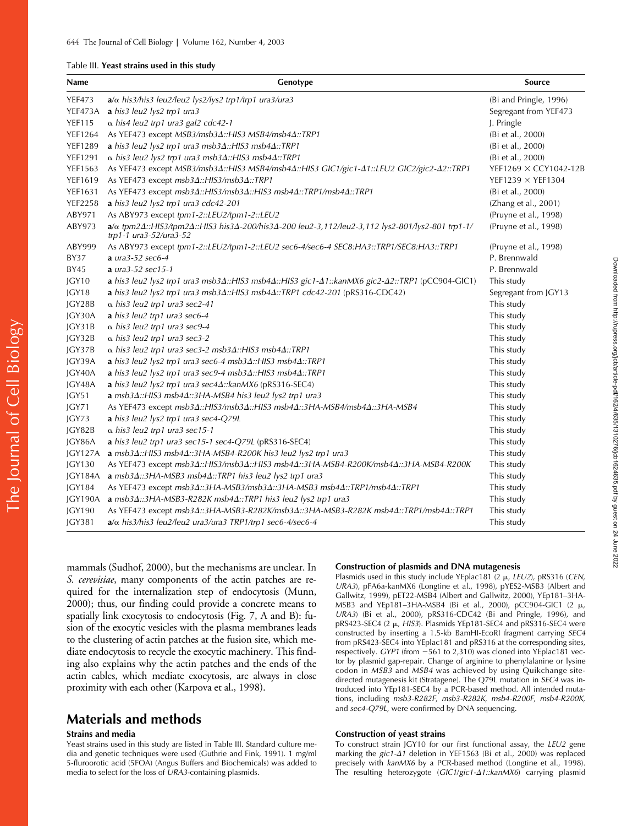#### Table III. **Yeast strains used in this study**

| Name           | Genotype                                                                                                                                                             | Source                       |
|----------------|----------------------------------------------------------------------------------------------------------------------------------------------------------------------|------------------------------|
| <b>YEF473</b>  | $a/\alpha$ his3/his3 leu2/leu2 lys2/lys2 trp1/trp1 ura3/ura3                                                                                                         | (Bi and Pringle, 1996)       |
| YEF473A        | a his3 leu2 lys2 trp1 ura3                                                                                                                                           | Segregant from YEF473        |
| <b>YEF115</b>  | $\alpha$ his4 leu2 trp1 ura3 gal2 cdc42-1                                                                                                                            | J. Pringle                   |
| <b>YEF1264</b> | As YEF473 except MSB3/msb3 $\Delta$ ::HIS3 MSB4/msb4 $\Delta$ ::TRP1                                                                                                 | (Bi et al., 2000)            |
| <b>YEF1289</b> | a his3 leu2 lys2 trp1 ura3 msb3 $\Delta$ ::HIS3 msb4 $\Delta$ ::TRP1                                                                                                 | (Bi et al., 2000)            |
| <b>YEF1291</b> | $\alpha$ his3 leu2 lys2 trp1 ura3 msb3 $\Delta$ ::HIS3 msb4 $\Delta$ ::TRP1                                                                                          | (Bi et al., 2000)            |
| <b>YEF1563</b> | As YEF473 except MSB3/msb3Δ::HIS3 MSB4/msb4Δ::HIS3 GIC1/gic1-Δ1::LEU2 GIC2/gic2-Δ2::TRP1                                                                             | YEF1269 $\times$ CCY1042-12B |
| YEF1619        | As YEF473 except msb34::HIS3/msb34::TRP1                                                                                                                             | YEF1239 $\times$ YEF1304     |
| <b>YEF1631</b> | As YEF473 except msb3 $\Delta$ ::HIS3/msb3 $\Delta$ ::HIS3 msb4 $\Delta$ ::TRP1/msb4 $\Delta$ ::TRP1                                                                 | (Bi et al., 2000)            |
| <b>YEF2258</b> | a his3 leu2 lys2 trp1 ura3 cdc42-201                                                                                                                                 | (Zhang et al., 2001)         |
| ABY971         | As ABY973 except tpm1-2::LEU2/tpm1-2::LEU2                                                                                                                           | (Pruyne et al., 1998)        |
| ABY973         | $a/\alpha$ tpm2 $\Delta$ ::HIS3/tpm2 $\Delta$ ::HIS3 his3 $\Delta$ -200/his3 $\Delta$ -200 leu2-3,112/leu2-3,112 lys2-801/lys2-801 trp1-1/<br>trp1-1 ura3-52/ura3-52 | (Pruyne et al., 1998)        |
| ABY999         | As ABY973 except tpm1-2::LEU2/tpm1-2::LEU2 sec6-4/sec6-4 SEC8:HA3::TRP1/SEC8:HA3::TRP1                                                                               | (Pruyne et al., 1998)        |
| <b>BY37</b>    | a ura $3-52$ sec6-4                                                                                                                                                  | P. Brennwald                 |
| BY45           | <b>a</b> $ura3-52$ sec15-1                                                                                                                                           | P. Brennwald                 |
| JGY10          | a his3 leu2 lys2 trp1 ura3 msb3 $\Delta$ ::HIS3 msb4 $\Delta$ ::HIS3 gic1- $\Delta$ 1::kanMX6 gic2- $\Delta$ 2::TRP1 (pCC904-GIC1)                                   | This study                   |
| JGY18          | a his3 leu2 lys2 trp1 ura3 msb3 $\Delta$ ::HIS3 msb4 $\Delta$ ::TRP1 cdc42-201 (pRS316-CDC42)                                                                        | Segregant from JGY13         |
| JGY28B         | $\alpha$ his3 leu2 trp1 ura3 sec2-41                                                                                                                                 | This study                   |
| JGY30A         | a his3 leu2 trp1 ura3 sec6-4                                                                                                                                         | This study                   |
| JGY31B         | $\alpha$ his3 leu2 trp1 ura3 sec9-4                                                                                                                                  | This study                   |
| JGY32B         | $\alpha$ his3 leu2 trp1 ura3 sec3-2                                                                                                                                  | This study                   |
| IGY37B         | $\alpha$ his3 leu2 trp1 ura3 sec3-2 msb3 $\Delta$ ::HIS3 msb4 $\Delta$ ::TRP1                                                                                        | This study                   |
| JGY39A         | a his3 leu2 lys2 trp1 ura3 sec6-4 msb3 $\Delta$ ::HIS3 msb4 $\Delta$ ::TRP1                                                                                          | This study                   |
| IGY40A         | <b>a</b> his3 leu2 lys2 trp1 ura3 sec9-4 msb3 $\Delta$ ::HIS3 msb4 $\Delta$ ::TRP1                                                                                   | This study                   |
| JGY48A         | a his3 leu2 lys2 trp1 ura3 sec4 $\Delta$ ::kanMX6 (pRS316-SEC4)                                                                                                      | This study                   |
| JGY51          | $a$ msb3 $\Delta$ ::HIS3 msb4 $\Delta$ ::3HA-MSB4 his3 leu2 lys2 trp1 ura3                                                                                           | This study                   |
| JGY71          | As YEF473 except msb3 $\Delta$ ::HIS3/msb3 $\Delta$ ::HIS3 msb4 $\Delta$ ::3HA-MSB4/msb4 $\Delta$ ::3HA-MSB4                                                         | This study                   |
| JGY73          | a his3 leu2 lys2 trp1 ura3 sec4-Q79L                                                                                                                                 | This study                   |
| JGY82B         | $\alpha$ his3 leu2 trp1 ura3 sec15-1                                                                                                                                 | This study                   |
| JGY86A         | a his3 leu2 trp1 ura3 sec15-1 sec4-Q79L (pRS316-SEC4)                                                                                                                | This study                   |
| JGY127A        | a msb3 $\Delta$ ::HIS3 msb4 $\Delta$ ::3HA-MSB4-R200K his3 leu2 lys2 trp1 ura3                                                                                       | This study                   |
| <b>JGY130</b>  | As YEF473 except msb3 $\Delta$ ::HIS3/msb3 $\Delta$ ::HIS3 msb4 $\Delta$ ::3HA-MSB4-R200K/msb4 $\Delta$ ::3HA-MSB4-R200K                                             | This study                   |
| IGY184A        | a msb3 $\Delta$ ::3HA-MSB3 msb4 $\Delta$ ::TRP1 his3 leu2 lys2 trp1 ura3                                                                                             | This study                   |
| <b>JGY184</b>  | As YEF473 except msb3 $\Delta$ ::3HA-MSB3/msb3 $\Delta$ ::3HA-MSB3 msb4 $\Delta$ ::TRP1/msb4 $\Delta$ ::TRP1                                                         | This study                   |
| JGY190A        | a msb3 $\Delta$ ::3HA-MSB3-R282K msb4 $\Delta$ ::TRP1 his3 leu2 lys2 trp1 ura3                                                                                       | This study                   |
| <b>JGY190</b>  | As YEF473 except msb3 $\Delta$ ::3HA-MSB3-R282K/msb3 $\Delta$ ::3HA-MSB3-R282K msb4 $\Delta$ ::TRP1/msb4 $\Delta$ ::TRP1                                             | This study                   |
| <b>JGY381</b>  | $a/\alpha$ his3/his3 leu2/leu2 ura3/ura3 TRP1/trp1 sec6-4/sec6-4                                                                                                     | This study                   |

mammals (Sudhof, 2000), but the mechanisms are unclear. In *S. cerevisiae*, many components of the actin patches are required for the internalization step of endocytosis (Munn, 2000); thus, our finding could provide a concrete means to spatially link exocytosis to endocytosis (Fig. 7, A and B): fusion of the exocytic vesicles with the plasma membranes leads to the clustering of actin patches at the fusion site, which mediate endocytosis to recycle the exocytic machinery. This finding also explains why the actin patches and the ends of the actin cables, which mediate exocytosis, are always in close proximity with each other (Karpova et al., 1998).

# **Materials and methods**

### **Strains and media**

The Journal of Cell Biology

The Journal of Cell Biology

Yeast strains used in this study are listed in Table III. Standard culture media and genetic techniques were used (Guthrie and Fink, 1991). 1 mg/ml 5-fluroorotic acid (5FOA) (Angus Buffers and Biochemicals) was added to media to select for the loss of *URA3*-containing plasmids.

#### **Construction of plasmids and DNA mutagenesis**

Plasmids used in this study include YEplac181 (2  $\mu$ , *LEU2*), pRS316 (*CEN*, *URA3*), pFA6a-kanMX6 (Longtine et al., 1998), pYES2-MSB3 (Albert and Gallwitz, 1999), pET22-MSB4 (Albert and Gallwitz, 2000), YEp181–3HA-MSB3 and YEp181-3HA-MSB4 (Bi et al., 2000), pCC904-GIC1 (2  $\mu$ , *URA3*) (Bi et al., 2000), pRS316-CDC42 (Bi and Pringle, 1996), and pRS423-SEC4 (2  $\mu$ , *HIS3*). Plasmids YEp181-SEC4 and pRS316-SEC4 were constructed by inserting a 1.5-kb BamHI-EcoRI fragment carrying *SEC4* from pRS423-SEC4 into YEplac181 and pRS316 at the corresponding sites, respectively. *GYP1* (from 561 to 2,310) was cloned into YEplac181 vector by plasmid gap-repair. Change of arginine to phenylalanine or lysine codon in *MSB3* and *MSB4* was achieved by using Quikchange sitedirected mutagenesis kit (Stratagene). The Q79L mutation in *SEC4* was introduced into YEp181-SEC4 by a PCR-based method. All intended mutations, including *msb3-R282F*, *msb3-R282K*, *msb4-R200F*, *msb4-R200K*, and *sec4-Q79L*, were confirmed by DNA sequencing.

#### **Construction of yeast strains**

To construct strain JGY10 for our first functional assay, the *LEU2* gene marking the *gic1-* $\Delta$ 1 deletion in YEF1563 (Bi et al., 2000) was replaced precisely with *kanMX6* by a PCR-based method (Longtine et al., 1998). The resulting heterozygote (*GIC1*/*gic1-*-*1::kanMX6*) carrying plasmid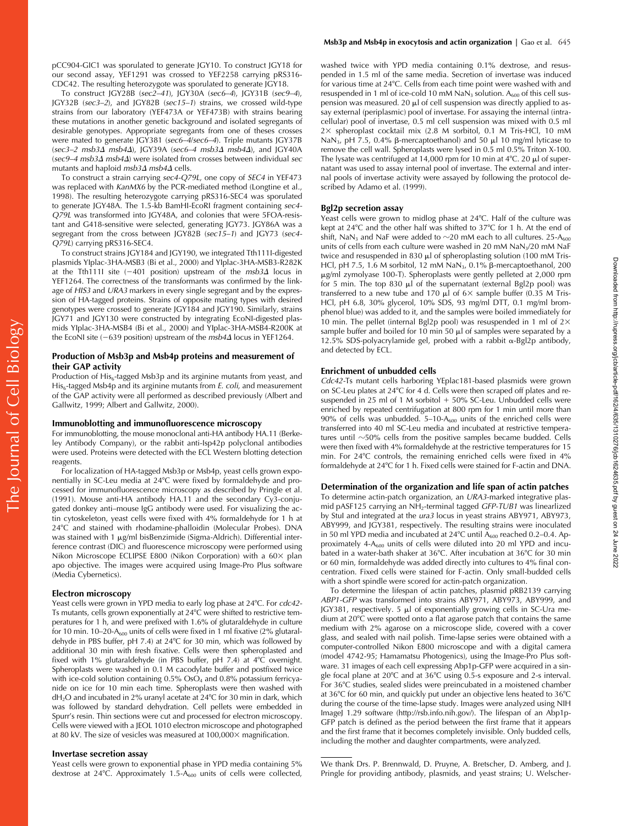pCC904-GIC1 was sporulated to generate JGY10. To construct JGY18 for our second assay, YEF1291 was crossed to YEF2258 carrying pRS316- CDC42. The resulting heterozygote was sporulated to generate JGY18.

To construct JGY28B (*sec2–41*), JGY30A (*sec6–4*), JGY31B (*sec9–4*), JGY32B (*sec3–2*), and JGY82B (*sec15–1*) strains, we crossed wild-type strains from our laboratory (YEF473A or YEF473B) with strains bearing these mutations in another genetic background and isolated segregants of desirable genotypes. Appropriate segregants from one of theses crosses were mated to generate JGY381 (*sec6–4*/*sec6–4*). Triple mutants JGY37B (*sec3–2 msb3*- *msb4*-), JGY39A (*sec6–4 msb3*- *msb4*-), and JGY40A (*sec9–4 msb3*- *msb4*-) were isolated from crosses between individual *sec* mutants and haploid *msb3∆ msb4∆* cells.

To construct a strain carrying *sec4-Q79L*, one copy of *SEC4* in YEF473 was replaced with *KanMX6* by the PCR-mediated method (Longtine et al., 1998). The resulting heterozygote carrying pRS316-SEC4 was sporulated to generate JGY48A. The 1.5-kb BamHI-EcoRI fragment containing *sec4- Q79L* was transformed into JGY48A, and colonies that were 5FOA-resistant and G418-sensitive were selected, generating JGY73. JGY86A was a segregant from the cross between JGY82B (*sec15–1*) and JGY73 (*sec4- Q79L*) carrying pRS316-SEC4.

To construct strains JGY184 and JGY190, we integrated Tth111I-digested plasmids YIplac-3HA-MSB3 (Bi et al., 2000) and YIplac-3HA-MSB3-R282K at the Tth1111 site (-401 position) upstream of the *msb3*Δ locus in YEF1264. The correctness of the transformants was confirmed by the linkage of *HIS3* and *URA3* markers in every single segregant and by the expression of HA-tagged proteins. Strains of opposite mating types with desired genotypes were crossed to generate JGY184 and JGY190. Similarly, strains JGY71 and JGY130 were constructed by integrating EcoNI-digested plasmids YIplac-3HA-MSB4 (Bi et al., 2000) and YIplac-3HA-MSB4-R200K at the EcoNI site (-639 position) upstream of the *msb4*Δ locus in YEF1264.

#### **Production of Msb3p and Msb4p proteins and measurement of their GAP activity**

Production of  $His<sub>6</sub>$ -tagged Msb3p and its arginine mutants from yeast, and His<sub>6</sub>-tagged Msb4p and its arginine mutants from *E. coli*, and measurement of the GAP activity were all performed as described previously (Albert and Gallwitz, 1999; Albert and Gallwitz, 2000).

#### **Immunoblotting and immunofluorescence microscopy**

For immunoblotting, the mouse monoclonal anti-HA antibody HA.11 (Berkeley Antibody Company), or the rabbit anti-Isp42p polyclonal antibodies were used. Proteins were detected with the ECL Western blotting detection reagents.

For localization of HA-tagged Msb3p or Msb4p, yeast cells grown exponentially in SC-Leu media at 24°C were fixed by formaldehyde and processed for immunofluorescence microscopy as described by Pringle et al. (1991). Mouse anti-HA antibody HA.11 and the secondary Cy3-conjugated donkey anti–mouse IgG antibody were used. For visualizing the actin cytoskeleton, yeast cells were fixed with 4% formaldehyde for 1 h at 24C and stained with rhodamine-phalloidin (Molecular Probes). DNA was stained with 1  $\mu$ g/ml bisBenzimide (Sigma-Aldrich). Differential interference contrast (DIC) and fluorescence microscopy were performed using Nikon Microscope ECLIPSE E800 (Nikon Corporation) with a 60× plan apo objective. The images were acquired using Image-Pro Plus software (Media Cybernetics).

#### **Electron microscopy**

Yeast cells were grown in YPD media to early log phase at 24°C. For *cdc42*-Ts mutants, cells grown exponentially at 24°C were shifted to restrictive temperatures for 1 h, and were prefixed with 1.6% of glutaraldehyde in culture for 10 min. 10–20- $A_{600}$  units of cells were fixed in 1 ml fixative (2% glutaraldehyde in PBS buffer, pH 7.4) at 24°C for 30 min, which was followed by additional 30 min with fresh fixative. Cells were then spheroplasted and fixed with 1% glutaraldehyde (in PBS buffer, pH 7.4) at 4°C overnight. Spheroplasts were washed in 0.1 M cacodylate buffer and postfixed twice with ice-cold solution containing 0.5% OsO<sub>4</sub> and 0.8% potassium ferricyanide on ice for 10 min each time. Spheroplasts were then washed with  $dH_2O$  and incubated in 2% uranyl acetate at 24°C for 30 min in dark, which was followed by standard dehydration. Cell pellets were embedded in Spurr's resin. Thin sections were cut and processed for electron microscopy. Cells were viewed with a JEOL 1010 electron microscope and photographed at 80 kV. The size of vesicles was measured at 100,000 × magnification.

#### **Invertase secretion assay**

Yeast cells were grown to exponential phase in YPD media containing 5% dextrose at  $24^{\circ}$ C. Approximately 1.5- $A_{600}$  units of cells were collected,

washed twice with YPD media containing 0.1% dextrose, and resuspended in 1.5 ml of the same media. Secretion of invertase was induced for various time at 24°C. Cells from each time point were washed with and resuspended in 1 ml of ice-cold 10 mM  $NaN<sub>3</sub>$  solution. A<sub>600</sub> of this cell suspension was measured. 20  $\mu$ l of cell suspension was directly applied to assay external (periplasmic) pool of invertase. For assaying the internal (intracellular) pool of invertase, 0.5 ml cell suspension was mixed with 0.5 ml 2 spheroplast cocktail mix (2.8 M sorbitol, 0.1 M Tris-HCl, 10 mM NaN<sub>3</sub>, pH 7.5, 0.4%  $\beta$ -mercaptoethanol) and 50  $\mu$ l 10 mg/ml lyticase to remove the cell wall. Spheroplasts were lysed in 0.5 ml 0.5% Triton X-100. The lysate was centrifuged at 14,000 rpm for 10 min at  $4^{\circ}$ C. 20  $\mu$ l of supernatant was used to assay internal pool of invertase. The external and internal pools of invertase activity were assayed by following the protocol described by Adamo et al. (1999).

#### **Bgl2p secretion assay**

Yeast cells were grown to midlog phase at 24°C. Half of the culture was kept at 24°C and the other half was shifted to 37°C for 1 h. At the end of shift, NaN $_3$  and NaF were added to  $\sim$ 20 mM each to all cultures. 25-A $_{600}$ units of cells from each culture were washed in 20 mM NaN<sub>3</sub>/20 mM NaF twice and resuspended in 830  $\mu$ l of spheroplasting solution (100 mM Tris-HCl, pH 7.5, 1.6 M sorbitol, 12 mM  $\text{NaN}_3$ , 0.1%  $\beta$ -mercaptoethanol, 200 g/ml zymolyase 100-T). Spheroplasts were gently pelleted at 2,000 rpm for 5 min. The top 830  $\mu$ l of the supernatant (external Bgl2p pool) was transferred to a new tube and 170  $\mu$ l of 6× sample buffer (0.35 M Tris-HCl, pH 6.8, 30% glycerol, 10% SDS, 93 mg/ml DTT, 0.1 mg/ml bromphenol blue) was added to it, and the samples were boiled immediately for 10 min. The pellet (internal Bgl2p pool) was resuspended in 1 ml of  $2 \times$ sample buffer and boiled for 10 min 50  $\mu$ l of samples were separated by a 12.5% SDS-polyacrylamide gel, probed with a rabbit  $\alpha$ -Bgl2p antibody, and detected by ECL.

#### **Enrichment of unbudded cells**

*Cdc42-*Ts mutant cells harboring YEplac181-based plasmids were grown on SC-Leu plates at 24°C for 4 d. Cells were then scraped off plates and resuspended in 25 ml of 1 M sorbitol  $+50\%$  SC-Leu. Unbudded cells were enriched by repeated centrifugation at 800 rpm for 1 min until more than 90% of cells was unbudded.  $5-10-A_{600}$  units of the enriched cells were transferred into 40 ml SC-Leu media and incubated at restrictive temperatures until  ${\sim}50\%$  cells from the positive samples became budded. Cells were then fixed with 4% formaldehyde at the restrictive temperatures for 15 min. For 24°C controls, the remaining enriched cells were fixed in 4% formaldehyde at 24°C for 1 h. Fixed cells were stained for F-actin and DNA.

#### **Determination of the organization and life span of actin patches**

To determine actin-patch organization, an *URA3*-marked integrative plasmid pASF125 carrying an NH2-terminal tagged *GFP-TUB1* was linearlized by StuI and integrated at the *ura3* locus in yeast strains ABY971, ABY973, ABY999, and JGY381, respectively. The resulting strains were inoculated in 50 ml YPD media and incubated at 24°C until  $\tilde{A}_{600}$  reached 0.2–0.4. Approximately 4- $A_{600}$  units of cells were diluted into 20 ml YPD and incubated in a water-bath shaker at 36°C. After incubation at 36°C for 30 min or 60 min, formaldehyde was added directly into cultures to 4% final concentration. Fixed cells were stained for F-actin. Only small-budded cells with a short spindle were scored for actin-patch organization.

To determine the lifespan of actin patches, plasmid pRB2139 carrying *ABP1-GFP* was transformed into strains ABY971, ABY973, ABY999, and JGY381, respectively. 5  $\mu$ l of exponentially growing cells in SC-Ura medium at 20°C were spotted onto a flat agarose patch that contains the same medium with 2% agarose on a microscope slide, covered with a cover glass, and sealed with nail polish. Time-lapse series were obtained with a computer-controlled Nikon E800 microscope and with a digital camera (model 4742-95; Hamamatsu Photogenics), using the Image-Pro Plus software. 31 images of each cell expressing Abp1p-GFP were acquired in a single focal plane at 20°C and at 36°C using 0.5-s exposure and 2-s interval. For 36°C studies, sealed slides were preincubated in a moistened chamber at 36°C for 60 min, and quickly put under an objective lens heated to 36°C during the course of the time-lapse study. Images were analyzed using NIH ImageJ 1.29 software (http://rsb.info.nih.gov/). The lifespan of an Abp1p-GFP patch is defined as the period between the first frame that it appears and the first frame that it becomes completely invisible. Only budded cells, including the mother and daughter compartments, were analyzed.

We thank Drs. P. Brennwald, D. Pruyne, A. Bretscher, D. Amberg, and J. Pringle for providing antibody, plasmids, and yeast strains; U. Welscher